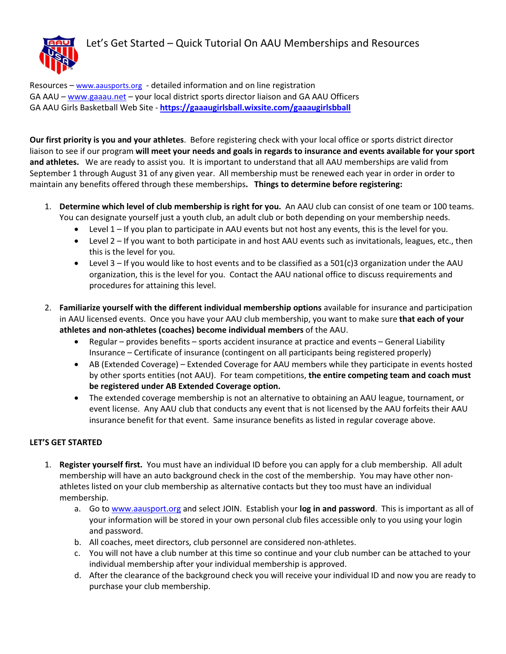## Let's Get Started – Quick Tutorial On AAU Memberships and Resources



Resources – www.aausports.org - detailed information and on line registration GA AAU – www.gaaau.net – your local district sports director liaison and GA AAU Officers GA AAU Girls Basketball Web Site - https://gaaaugirlsball.wixsite.com/gaaaugirlsbball

Our first priority is you and your athletes. Before registering check with your local office or sports district director liaison to see if our program will meet your needs and goals in regards to insurance and events available for your sport and athletes. We are ready to assist you. It is important to understand that all AAU memberships are valid from September 1 through August 31 of any given year. All membership must be renewed each year in order in order to maintain any benefits offered through these memberships. Things to determine before registering:

- 1. Determine which level of club membership is right for you. An AAU club can consist of one team or 100 teams. You can designate yourself just a youth club, an adult club or both depending on your membership needs.
	- Level 1 If you plan to participate in AAU events but not host any events, this is the level for you.
	- Level 2 If you want to both participate in and host AAU events such as invitationals, leagues, etc., then this is the level for you.
	- Level 3 If you would like to host events and to be classified as a 501(c)3 organization under the AAU organization, this is the level for you. Contact the AAU national office to discuss requirements and procedures for attaining this level.
- 2. Familiarize yourself with the different individual membership options available for insurance and participation in AAU licensed events. Once you have your AAU club membership, you want to make sure that each of your athletes and non-athletes (coaches) become individual members of the AAU.
	- Regular provides benefits sports accident insurance at practice and events General Liability Insurance – Certificate of insurance (contingent on all participants being registered properly)
	- AB (Extended Coverage) Extended Coverage for AAU members while they participate in events hosted by other sports entities (not AAU). For team competitions, the entire competing team and coach must be registered under AB Extended Coverage option.
	- The extended coverage membership is not an alternative to obtaining an AAU league, tournament, or event license. Any AAU club that conducts any event that is not licensed by the AAU forfeits their AAU insurance benefit for that event. Same insurance benefits as listed in regular coverage above.

## LET'S GET STARTED

- 1. Register yourself first. You must have an individual ID before you can apply for a club membership. All adult membership will have an auto background check in the cost of the membership. You may have other nonathletes listed on your club membership as alternative contacts but they too must have an individual membership.
	- a. Go to www.aausport.org and select JOIN. Establish your log in and password. This is important as all of your information will be stored in your own personal club files accessible only to you using your login and password.
	- b. All coaches, meet directors, club personnel are considered non-athletes.
	- c. You will not have a club number at this time so continue and your club number can be attached to your individual membership after your individual membership is approved.
	- d. After the clearance of the background check you will receive your individual ID and now you are ready to purchase your club membership.